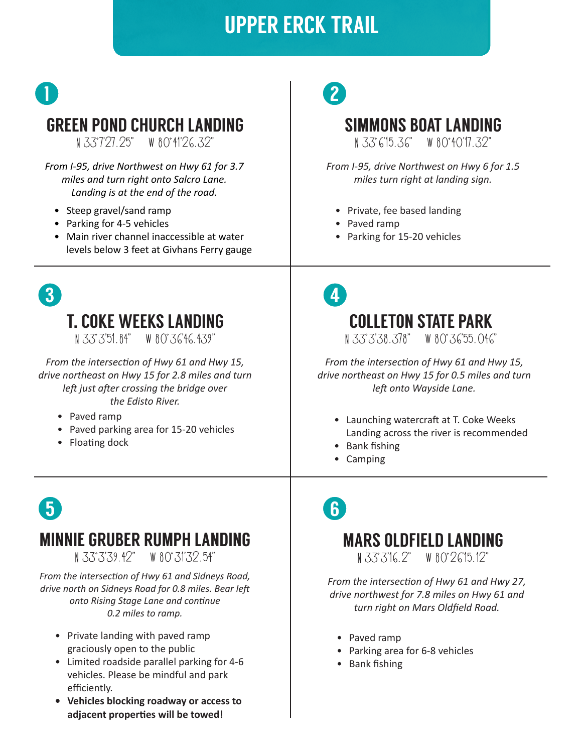## UPPER ERCK TRAIL



N 33 7'27.25" W 80 41'26.32"

*From I-95, drive Northwest on Hwy 61 for 3.7 miles and turn right onto Salcro Lane. Landing is at the end of the road.*

- Steep gravel/sand ramp
- Parking for 4-5 vehicles
- Main river channel inaccessible at water levels below 3 feet at Givhans Ferry gauge



### T. COKE WEEKS LANDING

N 33 3'51.84" W 80 36'46.439"

*From the intersection of Hwy 61 and Hwy 15, drive northeast on Hwy 15 for 2.8 miles and turn left just after crossing the bridge over the Edisto River.*

- Paved ramp
- Paved parking area for 15-20 vehicles
- Floating dock

# 2

#### SIMMONS BOAT LANDING

N 33 6'15.36" W 80 40'17.32"

*From I-95, drive Northwest on Hwy 6 for 1.5 miles turn right at landing sign.*

- Private, fee based landing
- Paved ramp
- Parking for 15-20 vehicles



*From the intersection of Hwy 61 and Hwy 15, drive northeast on Hwy 15 for 0.5 miles and turn left onto Wayside Lane.*

- Launching watercraft at T. Coke Weeks Landing across the river is recommended
- Bank fishing
- Camping

# 5

### MINNIE GRUBER RUMPH LANDING

N 33 3'39.42" W 80 31'32.54"

*From the intersection of Hwy 61 and Sidneys Road, drive north on Sidneys Road for 0.8 miles. Bear left onto Rising Stage Lane and continue 0.2 miles to ramp.* 

- Private landing with paved ramp graciously open to the public
- Limited roadside parallel parking for 4-6 vehicles. Please be mindful and park efficiently.
- **• Vehicles blocking roadway or access to adjacent properties will be towed!**

6

### MARS OLDFIELD LANDING

N 33 3'16.2" W 80 26'15.12"

*From the intersection of Hwy 61 and Hwy 27, drive northwest for 7.8 miles on Hwy 61 and turn right on Mars Oldfield Road.*

- Paved ramp
- Parking area for 6-8 vehicles
- Bank fishing